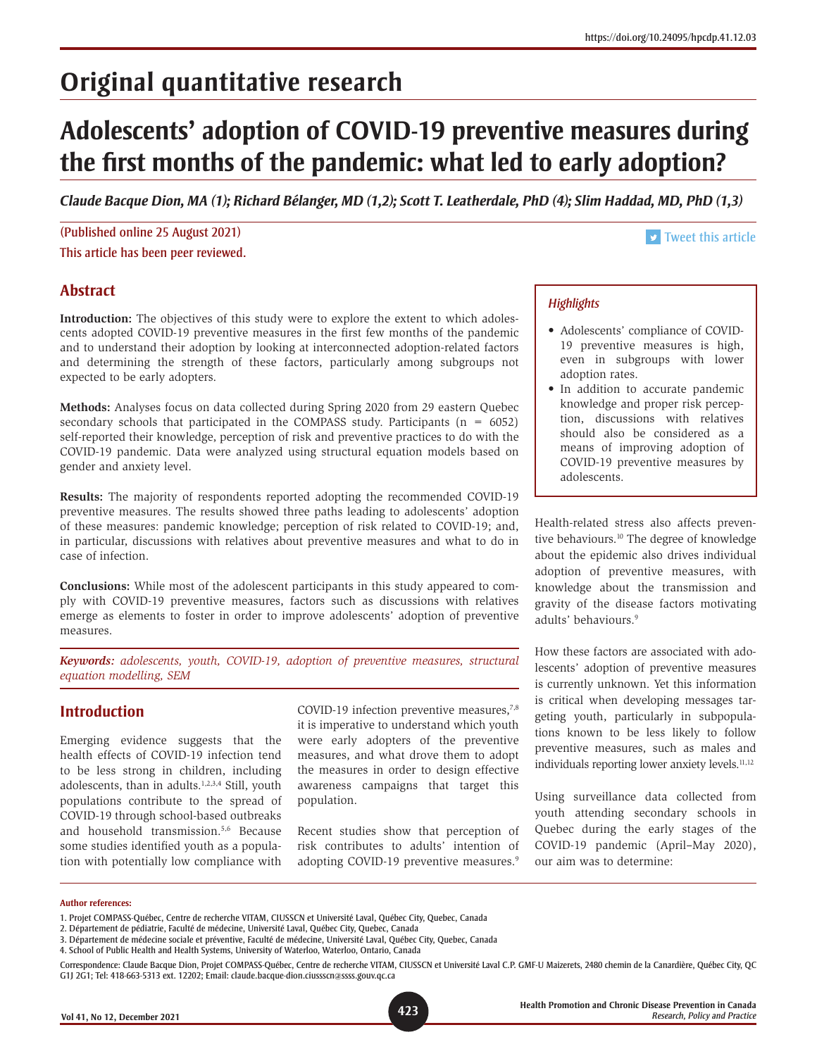# **Original quantitative research**

# **Adolescents' adoption of COVID-19 preventive measures during the first months of the pandemic: what led to early adoption?**

*Claude Bacque Dion, MA (1); Richard Bélanger, MD (1,2); Scott T. Leatherdale, PhD (4); Slim Haddad, MD, PhD (1,3)*

(Published online 25 August 2021) This article has been peer reviewed.

#### **v** [Tweet this article](http://twitter.com/share?text=%2523HPCDP%20Journal%20%E2%80%93%20Adolescents%E2%80%99%20adoption%20of%20%2523COVID19%20preventive%20measures%20during%20the%20first%20months%20of%20the%20pandemic:%20what%20led%20to%20early%20adoption?&hashtags=adolescents,PHAC&url=https://doi.org/10.24095/hpcdp.41.12.03)

## **Abstract**

**Introduction:** The objectives of this study were to explore the extent to which adolescents adopted COVID-19 preventive measures in the first few months of the pandemic and to understand their adoption by looking at interconnected adoption-related factors and determining the strength of these factors, particularly among subgroups not expected to be early adopters.

**Methods:** Analyses focus on data collected during Spring 2020 from 29 eastern Quebec secondary schools that participated in the COMPASS study. Participants  $(n = 6052)$ self-reported their knowledge, perception of risk and preventive practices to do with the COVID-19 pandemic. Data were analyzed using structural equation models based on gender and anxiety level.

**Results:** The majority of respondents reported adopting the recommended COVID-19 preventive measures. The results showed three paths leading to adolescents' adoption of these measures: pandemic knowledge; perception of risk related to COVID-19; and, in particular, discussions with relatives about preventive measures and what to do in case of infection.

**Conclusions:** While most of the adolescent participants in this study appeared to comply with COVID-19 preventive measures, factors such as discussions with relatives emerge as elements to foster in order to improve adolescents' adoption of preventive measures.

*Keywords: adolescents, youth, COVID-19, adoption of preventive measures, structural equation modelling, SEM*

### **Introduction**

Emerging evidence suggests that the health effects of COVID-19 infection tend to be less strong in children, including adolescents, than in adults.<sup>1,2,3,4</sup> Still, youth populations contribute to the spread of COVID-19 through school-based outbreaks and household transmission.5,6 Because some studies identified youth as a population with potentially low compliance with COVID-19 infection preventive measures,<sup>7,8</sup> it is imperative to understand which youth were early adopters of the preventive measures, and what drove them to adopt the measures in order to design effective awareness campaigns that target this population.

Recent studies show that perception of risk contributes to adults' intention of adopting COVID-19 preventive measures.<sup>9</sup>

## *Highlights*

- Adolescents' compliance of COVID-19 preventive measures is high, even in subgroups with lower adoption rates.
- In addition to accurate pandemic knowledge and proper risk perception, discussions with relatives should also be considered as a means of improving adoption of COVID-19 preventive measures by adolescents.

Health-related stress also affects preventive behaviours.<sup>10</sup> The degree of knowledge about the epidemic also drives individual adoption of preventive measures, with knowledge about the transmission and gravity of the disease factors motivating adults' behaviours.9

How these factors are associated with adolescents' adoption of preventive measures is currently unknown. Yet this information is critical when developing messages targeting youth, particularly in subpopulations known to be less likely to follow preventive measures, such as males and individuals reporting lower anxiety levels.<sup>11,12</sup>

Using surveillance data collected from youth attending secondary schools in Quebec during the early stages of the COVID-19 pandemic (April–May 2020), our aim was to determine:

#### **Author references:**

<sup>1.</sup> Projet COMPASS-Québec, Centre de recherche VITAM, CIUSSCN et Université Laval, Québec City, Quebec, Canada

<sup>2.</sup> Département de pédiatrie, Faculté de médecine, Université Laval, Québec City, Quebec, Canada

<sup>3.</sup> Département de médecine sociale et préventive, Faculté de médecine, Université Laval, Québec City, Quebec, Canada

<sup>4.</sup> School of Public Health and Health Systems, University of Waterloo, Waterloo, Ontario, Canada

Correspondence: Claude Bacque Dion, Projet COMPASS-Québec, Centre de recherche VITAM, CIUSSCN et Université Laval C.P. GMF-U Maizerets, 2480 chemin de la Canardière, Québec City, QC G1J 2G1; Tel: 418-663-5313 ext. 12202; Email: claude.bacque-dion.ciussscn@ssss.gouv.qc.ca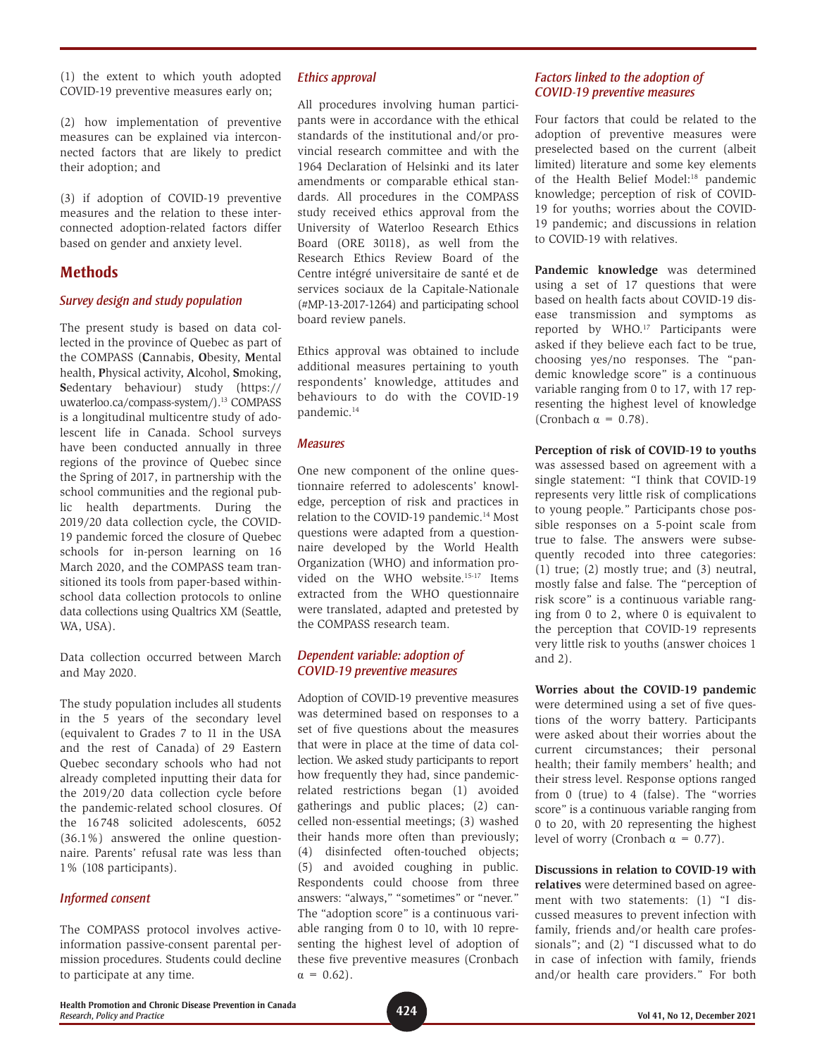(1) the extent to which youth adopted COVID-19 preventive measures early on;

(2) how implementation of preventive measures can be explained via interconnected factors that are likely to predict their adoption; and

(3) if adoption of COVID-19 preventive measures and the relation to these interconnected adoption-related factors differ based on gender and anxiety level.

## **Methods**

#### *Survey design and study population*

The present study is based on data collected in the province of Quebec as part of the COMPASS (**C**annabis, **O**besity, **M**ental health, **P**hysical activity, **A**lcohol, **S**moking, **S**edentary behaviour) study [\(https://](https://uwaterloo.ca/compass-system/) [uwaterloo.ca/compass-system/\)](https://uwaterloo.ca/compass-system/).<sup>13</sup> COMPASS is a longitudinal multicentre study of adolescent life in Canada. School surveys have been conducted annually in three regions of the province of Quebec since the Spring of 2017, in partnership with the school communities and the regional public health departments. During the 2019/20 data collection cycle, the COVID-19 pandemic forced the closure of Quebec schools for in-person learning on 16 March 2020, and the COMPASS team transitioned its tools from paper-based withinschool data collection protocols to online data collections using Qualtrics XM (Seattle, WA, USA).

Data collection occurred between March and May 2020.

The study population includes all students in the 5 years of the secondary level (equivalent to Grades 7 to 11 in the USA and the rest of Canada) of 29 Eastern Quebec secondary schools who had not already completed inputting their data for the 2019/20 data collection cycle before the pandemic-related school closures. Of the 16748 solicited adolescents, 6052 (36.1%) answered the online questionnaire. Parents' refusal rate was less than 1% (108 participants).

#### *Informed consent*

The COMPASS protocol involves activeinformation passive-consent parental permission procedures. Students could decline to participate at any time.

#### *Ethics approval*

All procedures involving human participants were in accordance with the ethical standards of the institutional and/or provincial research committee and with the 1964 Declaration of Helsinki and its later amendments or comparable ethical standards. All procedures in the COMPASS study received ethics approval from the University of Waterloo Research Ethics Board (ORE 30118), as well from the Research Ethics Review Board of the Centre intégré universitaire de santé et de services sociaux de la Capitale-Nationale (#MP-13-2017-1264) and participating school board review panels.

Ethics approval was obtained to include additional measures pertaining to youth respondents' knowledge, attitudes and behaviours to do with the COVID-19 pandemic.<sup>14</sup>

#### *Measures*

One new component of the online questionnaire referred to adolescents' knowledge, perception of risk and practices in relation to the COVID-19 pandemic.<sup>14</sup> Most questions were adapted from a questionnaire developed by the World Health Organization (WHO) and information provided on the WHO website.15-17 Items extracted from the WHO questionnaire were translated, adapted and pretested by the COMPASS research team.

#### *Dependent variable: adoption of COVID-19 preventive measures*

Adoption of COVID-19 preventive measures was determined based on responses to a set of five questions about the measures that were in place at the time of data collection. We asked study participants to report how frequently they had, since pandemicrelated restrictions began (1) avoided gatherings and public places; (2) cancelled non-essential meetings; (3) washed their hands more often than previously; (4) disinfected often-touched objects; (5) and avoided coughing in public. Respondents could choose from three answers: "always," "sometimes" or "never." The "adoption score" is a continuous variable ranging from 0 to 10, with 10 representing the highest level of adoption of these five preventive measures (Cronbach  $\alpha = 0.62$ ).

#### *Factors linked to the adoption of COVID-19 preventive measures*

Four factors that could be related to the adoption of preventive measures were preselected based on the current (albeit limited) literature and some key elements of the Health Belief Model:18 pandemic knowledge; perception of risk of COVID-19 for youths; worries about the COVID-19 pandemic; and discussions in relation to COVID-19 with relatives.

**Pandemic knowledge** was determined using a set of 17 questions that were based on health facts about COVID-19 disease transmission and symptoms as reported by WHO.17 Participants were asked if they believe each fact to be true, choosing yes/no responses. The "pandemic knowledge score" is a continuous variable ranging from 0 to 17, with 17 representing the highest level of knowledge (Cronbach  $\alpha = 0.78$ ).

#### **Perception of risk of COVID-19 to youths**

was assessed based on agreement with a single statement: "I think that COVID-19 represents very little risk of complications to young people." Participants chose possible responses on a 5-point scale from true to false. The answers were subsequently recoded into three categories: (1) true; (2) mostly true; and (3) neutral, mostly false and false. The "perception of risk score" is a continuous variable ranging from 0 to 2, where 0 is equivalent to the perception that COVID-19 represents very little risk to youths (answer choices 1 and 2).

**Worries about the COVID-19 pandemic**  were determined using a set of five questions of the worry battery. Participants were asked about their worries about the current circumstances; their personal health; their family members' health; and their stress level. Response options ranged from 0 (true) to 4 (false). The "worries score" is a continuous variable ranging from 0 to 20, with 20 representing the highest level of worry (Cronbach  $\alpha = 0.77$ ).

#### **Discussions in relation to COVID-19 with**

**relatives** were determined based on agreement with two statements: (1) "I discussed measures to prevent infection with family, friends and/or health care professionals"; and (2) "I discussed what to do in case of infection with family, friends and/or health care providers." For both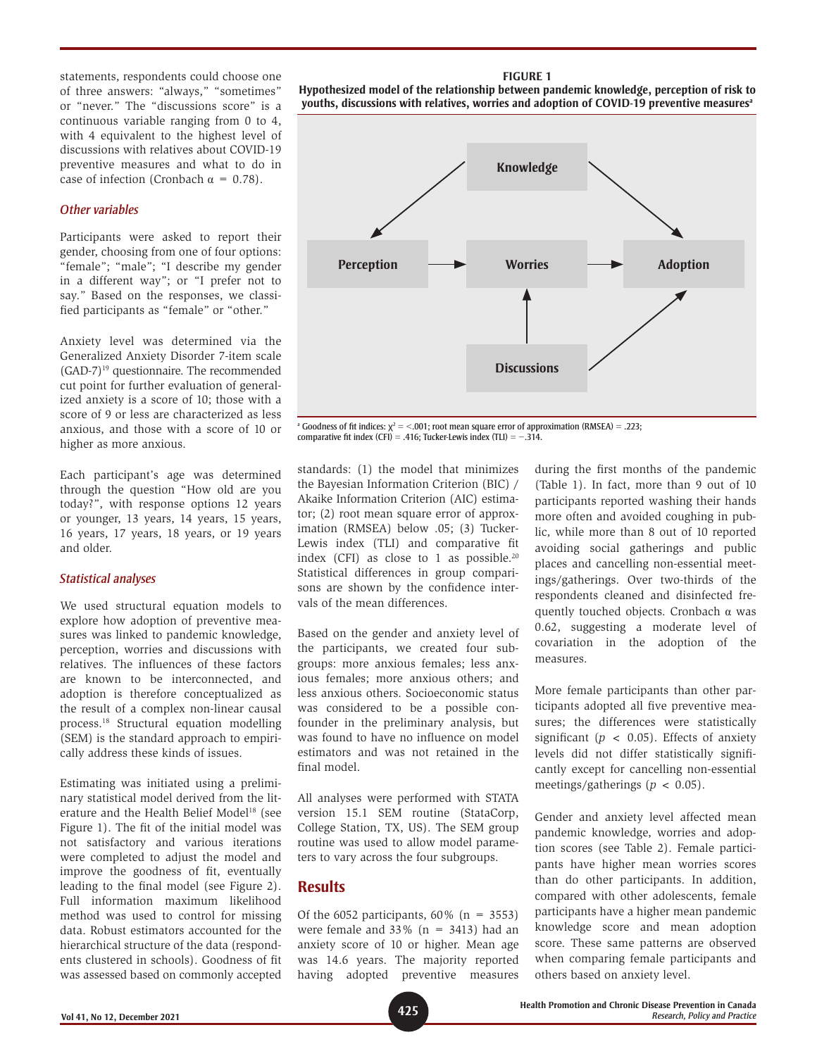statements, respondents could choose one of three answers: "always," "sometimes" or "never." The "discussions score" is a continuous variable ranging from 0 to 4, with 4 equivalent to the highest level of discussions with relatives about COVID-19 preventive measures and what to do in case of infection (Cronbach  $\alpha = 0.78$ ).

#### *Other variables*

Participants were asked to report their gender, choosing from one of four options: "female"; "male"; "I describe my gender in a different way"; or "I prefer not to say." Based on the responses, we classified participants as "female" or "other."

Anxiety level was determined via the Generalized Anxiety Disorder 7-item scale (GAD-7)19 questionnaire. The recommended cut point for further evaluation of generalized anxiety is a score of 10; those with a score of 9 or less are characterized as less anxious, and those with a score of 10 or higher as more anxious.

Each participant's age was determined through the question "How old are you today?", with response options 12 years or younger, 13 years, 14 years, 15 years, 16 years, 17 years, 18 years, or 19 years and older.

#### *Statistical analyses*

We used structural equation models to explore how adoption of preventive measures was linked to pandemic knowledge, perception, worries and discussions with relatives. The influences of these factors are known to be interconnected, and adoption is therefore conceptualized as the result of a complex non-linear causal process.18 Structural equation modelling (SEM) is the standard approach to empirically address these kinds of issues.

Estimating was initiated using a preliminary statistical model derived from the literature and the Health Belief Model<sup>18</sup> (see Figure 1). The fit of the initial model was not satisfactory and various iterations were completed to adjust the model and improve the goodness of fit, eventually leading to the final model (see Figure 2). Full information maximum likelihood method was used to control for missing data. Robust estimators accounted for the hierarchical structure of the data (respondents clustered in schools). Goodness of fit was assessed based on commonly accepted

**FIGURE 1 Hypothesized model of the relationship between pandemic knowledge, perception of risk to youths, discussions with relatives, worries and adoption of COVID-19 preventive measuresa**



<sup>a</sup> Goodness of fit indices:  $\chi^2$  = <.001; root mean square error of approximation (RMSEA) = .223; comparative fit index (CFI) = .416; Tucker-Lewis index (TLI) =  $-314$ .

standards: (1) the model that minimizes the Bayesian Information Criterion (BIC) / Akaike Information Criterion (AIC) estimator; (2) root mean square error of approximation (RMSEA) below .05; (3) Tucker-Lewis index (TLI) and comparative fit index (CFI) as close to 1 as possible.<sup>20</sup> Statistical differences in group comparisons are shown by the confidence intervals of the mean differences.

Based on the gender and anxiety level of the participants, we created four subgroups: more anxious females; less anxious females; more anxious others; and less anxious others. Socioeconomic status was considered to be a possible confounder in the preliminary analysis, but was found to have no influence on model estimators and was not retained in the final model.

All analyses were performed with STATA version 15.1 SEM routine (StataCorp, College Station, TX, US). The SEM group routine was used to allow model parameters to vary across the four subgroups.

#### **Results**

Of the 6052 participants,  $60\%$  (n = 3553) were female and  $33\%$  (n = 3413) had an anxiety score of 10 or higher. Mean age was 14.6 years. The majority reported having adopted preventive measures during the first months of the pandemic (Table 1). In fact, more than 9 out of 10 participants reported washing their hands more often and avoided coughing in public, while more than 8 out of 10 reported avoiding social gatherings and public places and cancelling non-essential meetings/gatherings. Over two-thirds of the respondents cleaned and disinfected frequently touched objects. Cronbach α was 0.62, suggesting a moderate level of covariation in the adoption of the measures.

More female participants than other participants adopted all five preventive measures; the differences were statistically significant ( $p < 0.05$ ). Effects of anxiety levels did not differ statistically significantly except for cancelling non-essential meetings/gatherings (*p* < 0.05).

Gender and anxiety level affected mean pandemic knowledge, worries and adoption scores (see Table 2). Female participants have higher mean worries scores than do other participants. In addition, compared with other adolescents, female participants have a higher mean pandemic knowledge score and mean adoption score. These same patterns are observed when comparing female participants and others based on anxiety level.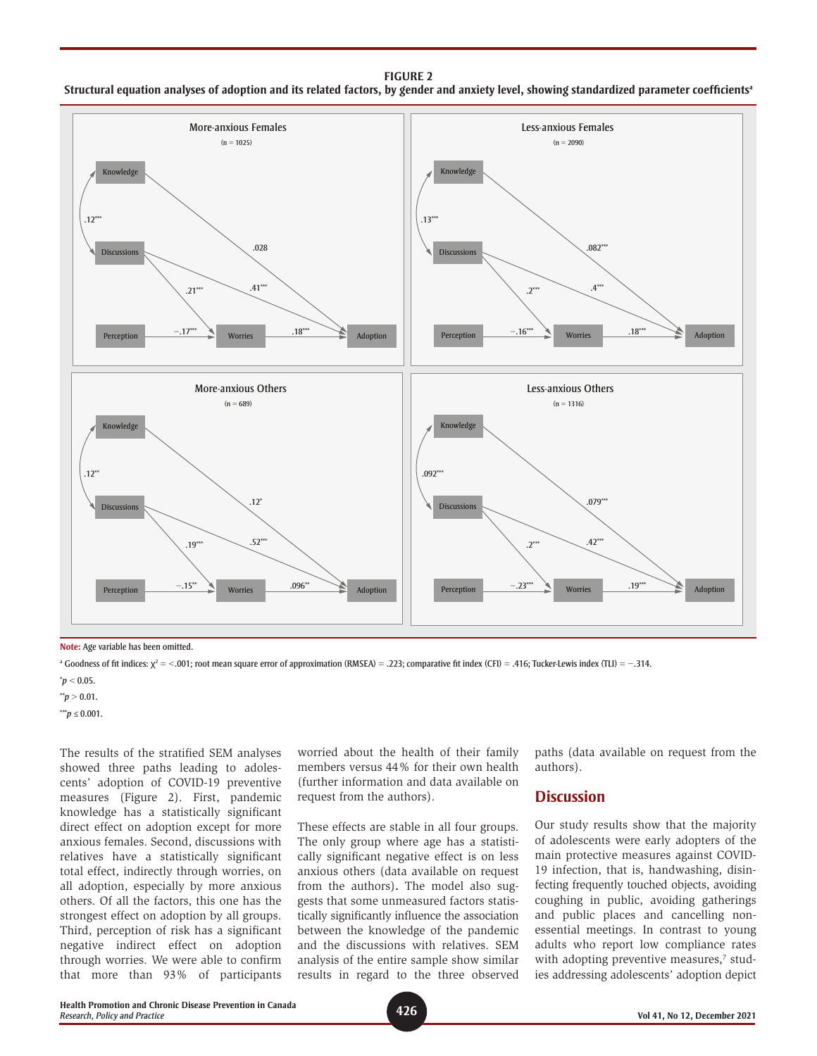#### **FIGURE 2 Structural equation analyses of adoption and its related factors, by gender and anxiety level, showing standardized parameter coefficientsa**



**Note:** Age variable has been omitted.

<sup>a</sup> Goodness of fit indices: χ<sup>2</sup> = <.001; root mean square error of approximation (RMSEA) = .223; comparative fit index (CFI) = .416; Tucker-Lewis index (TLI) =  $-$ .314.

 $^*p < 0.05$ .

 $*$ <sup>\*</sup>*p* > 0.01.

\*\*\**p* ≤ 0.001.

The results of the stratified SEM analyses showed three paths leading to adolescents' adoption of COVID-19 preventive measures (Figure 2). First, pandemic knowledge has a statistically significant direct effect on adoption except for more anxious females. Second, discussions with relatives have a statistically significant total effect, indirectly through worries, on all adoption, especially by more anxious others. Of all the factors, this one has the strongest effect on adoption by all groups. Third, perception of risk has a significant negative indirect effect on adoption through worries. We were able to confirm that more than 93% of participants

worried about the health of their family members versus 44% for their own health (further information and data available on request from the authors).

These effects are stable in all four groups. The only group where age has a statistically significant negative effect is on less anxious others (data available on request from the authors)**.** The model also suggests that some unmeasured factors statistically significantly influence the association between the knowledge of the pandemic and the discussions with relatives. SEM analysis of the entire sample show similar results in regard to the three observed

paths (data available on request from the authors).

#### **Discussion**

Our study results show that the majority of adolescents were early adopters of the main protective measures against COVID-19 infection, that is, handwashing, disinfecting frequently touched objects, avoiding coughing in public, avoiding gatherings and public places and cancelling nonessential meetings. In contrast to young adults who report low compliance rates with adopting preventive measures,<sup>7</sup> studies addressing adolescents' adoption depict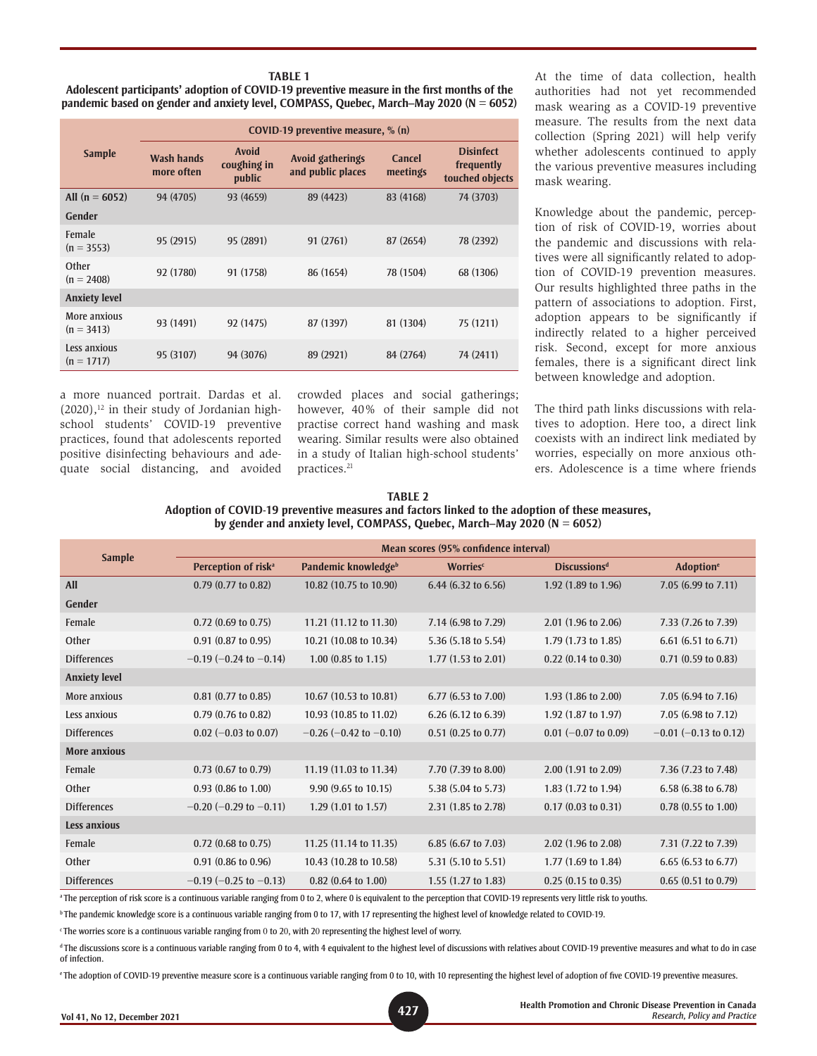#### **TABLE 1 Adolescent participants' adoption of COVID-19 preventive measure in the first months of the pandemic based on gender and anxiety level, COMPASS, Quebec, March–May 2020 (N = 6052)**

|                              | COVID-19 preventive measure, $\%$ (n) |                                       |                                       |                    |                                                   |  |  |
|------------------------------|---------------------------------------|---------------------------------------|---------------------------------------|--------------------|---------------------------------------------------|--|--|
| <b>Sample</b>                | <b>Wash hands</b><br>more often       | <b>Avoid</b><br>coughing in<br>public | Avoid gatherings<br>and public places | Cancel<br>meetings | <b>Disinfect</b><br>frequently<br>touched objects |  |  |
| All $(n = 6052)$             | 94 (4705)                             | 93 (4659)                             | 89 (4423)                             | 83 (4168)          | 74 (3703)                                         |  |  |
| <b>Gender</b>                |                                       |                                       |                                       |                    |                                                   |  |  |
| Female<br>$(n = 3553)$       | 95 (2915)                             | 95 (2891)                             | 91 (2761)                             | 87 (2654)          | 78 (2392)                                         |  |  |
| Other<br>$(n = 2408)$        | 92 (1780)                             | 91 (1758)                             | 86 (1654)                             | 78 (1504)          | 68 (1306)                                         |  |  |
| <b>Anxiety level</b>         |                                       |                                       |                                       |                    |                                                   |  |  |
| More anxious<br>$(n = 3413)$ | 93 (1491)                             | 92 (1475)                             | 87 (1397)                             | 81 (1304)          | 75 (1211)                                         |  |  |
| Less anxious<br>$(n = 1717)$ | 95 (3107)                             | 94 (3076)                             | 89 (2921)                             | 84 (2764)          | 74 (2411)                                         |  |  |

a more nuanced portrait. Dardas et al.  $(2020)$ ,<sup>12</sup> in their study of Jordanian highschool students' COVID-19 preventive practices, found that adolescents reported positive disinfecting behaviours and adequate social distancing, and avoided crowded places and social gatherings; however, 40% of their sample did not practise correct hand washing and mask wearing. Similar results were also obtained in a study of Italian high-school students' practices.<sup>21</sup>

At the time of data collection, health authorities had not yet recommended mask wearing as a COVID-19 preventive measure. The results from the next data collection (Spring 2021) will help verify whether adolescents continued to apply the various preventive measures including mask wearing.

Knowledge about the pandemic, perception of risk of COVID-19, worries about the pandemic and discussions with relatives were all significantly related to adoption of COVID-19 prevention measures. Our results highlighted three paths in the pattern of associations to adoption. First, adoption appears to be significantly if indirectly related to a higher perceived risk. Second, except for more anxious females, there is a significant direct link between knowledge and adoption.

The third path links discussions with relatives to adoption. Here too, a direct link coexists with an indirect link mediated by worries, especially on more anxious others. Adolescence is a time where friends

| TABLE 2                                                                                        |
|------------------------------------------------------------------------------------------------|
| Adoption of COVID-19 preventive measures and factors linked to the adoption of these measures, |
| by gender and anxiety level, COMPASS, Quebec, March–May 2020 ( $N = 6052$ )                    |

| <b>Sample</b>        | Mean scores (95% confidence interval) |                               |                                |                               |                               |  |  |
|----------------------|---------------------------------------|-------------------------------|--------------------------------|-------------------------------|-------------------------------|--|--|
|                      | Perception of risk <sup>a</sup>       | Pandemic knowledgeb           | <b>Worries</b> <sup>c</sup>    | <b>Discussionsd</b>           | <b>Adoption</b> <sup>e</sup>  |  |  |
| <b>All</b>           | $0.79$ $(0.77$ to $0.82)$             | 10.82 (10.75 to 10.90)        | 6.44 $(6.32 \text{ to } 6.56)$ | 1.92 (1.89 to 1.96)           | 7.05 (6.99 to 7.11)           |  |  |
| <b>Gender</b>        |                                       |                               |                                |                               |                               |  |  |
| Female               | $0.72$ (0.69 to 0.75)                 | 11.21 (11.12 to 11.30)        | 7.14 (6.98 to 7.29)            | 2.01 (1.96 to 2.06)           | 7.33 (7.26 to 7.39)           |  |  |
| Other                | $0.91$ $(0.87$ to $0.95)$             | 10.21 (10.08 to 10.34)        | 5.36 (5.18 to 5.54)            | $1.79(1.73 \text{ to } 1.85)$ | $6.61$ (6.51 to 6.71)         |  |  |
| <b>Differences</b>   | $-0.19$ (-0.24 to -0.14)              | $1.00$ (0.85 to 1.15)         | $1.77(1.53 \text{ to } 2.01)$  | $0.22$ (0.14 to 0.30)         | $0.71$ (0.59 to 0.83)         |  |  |
| <b>Anxiety level</b> |                                       |                               |                                |                               |                               |  |  |
| More anxious         | $0.81$ (0.77 to 0.85)                 | 10.67 (10.53 to 10.81)        | 6.77 (6.53 to 7.00)            | 1.93 (1.86 to 2.00)           | 7.05 (6.94 to 7.16)           |  |  |
| Less anxious         | $0.79$ (0.76 to 0.82)                 | 10.93 (10.85 to 11.02)        | $6.26$ (6.12 to 6.39)          | 1.92 (1.87 to 1.97)           | 7.05 (6.98 to 7.12)           |  |  |
| <b>Differences</b>   | $0.02$ (-0.03 to 0.07)                | $-0.26$ (-0.42 to -0.10)      | $0.51$ (0.25 to 0.77)          | $0.01$ (-0.07 to 0.09)        | $-0.01$ (-0.13 to 0.12)       |  |  |
| <b>More anxious</b>  |                                       |                               |                                |                               |                               |  |  |
| Female               | $0.73$ (0.67 to 0.79)                 | 11.19 (11.03 to 11.34)        | 7.70 (7.39 to 8.00)            | $2.00$ (1.91 to 2.09)         | 7.36 (7.23 to 7.48)           |  |  |
| Other                | $0.93$ $(0.86$ to $1.00)$             | 9.90 (9.65 to 10.15)          | 5.38 (5.04 to 5.73)            | 1.83 (1.72 to 1.94)           | 6.58 (6.38 to 6.78)           |  |  |
| <b>Differences</b>   | $-0.20$ (-0.29 to $-0.11$ )           | $1.29(1.01 \text{ to } 1.57)$ | 2.31 (1.85 to 2.78)            | $0.17$ $(0.03$ to $0.31)$     | $0.78(0.55 \text{ to } 1.00)$ |  |  |
| <b>Less anxious</b>  |                                       |                               |                                |                               |                               |  |  |
| Female               | $0.72$ (0.68 to 0.75)                 | 11.25 (11.14 to 11.35)        | 6.85 (6.67 to 7.03)            | 2.02 (1.96 to 2.08)           | 7.31 (7.22 to 7.39)           |  |  |
| Other                | 0.91 (0.86 to 0.96)                   | 10.43 (10.28 to 10.58)        | 5.31 (5.10 to 5.51)            | $1.77$ (1.69 to 1.84)         | 6.65 (6.53 to 6.77)           |  |  |
| <b>Differences</b>   | $-0.19$ (-0.25 to -0.13)              | $0.82$ (0.64 to 1.00)         | 1.55 (1.27 to 1.83)            | $0.25(0.15 \text{ to } 0.35)$ | $0.65$ $(0.51$ to $0.79)$     |  |  |

<sup>a</sup> The perception of risk score is a continuous variable ranging from 0 to 2, where 0 is equivalent to the perception that COVID-19 represents very little risk to youths.

**b** The pandemic knowledge score is a continuous variable ranging from 0 to 17, with 17 representing the highest level of knowledge related to COVID-19.

 $\cdot$ The worries score is a continuous variable ranging from 0 to 20, with 20 representing the highest level of worry.

<sup>d</sup> The discussions score is a continuous variable ranging from 0 to 4, with 4 equivalent to the highest level of discussions with relatives about COVID-19 preventive measures and what to do in case of infection.

<sup>e</sup> The adoption of COVID-19 preventive measure score is a continuous variable ranging from 0 to 10, with 10 representing the highest level of adoption of five COVID-19 preventive measures.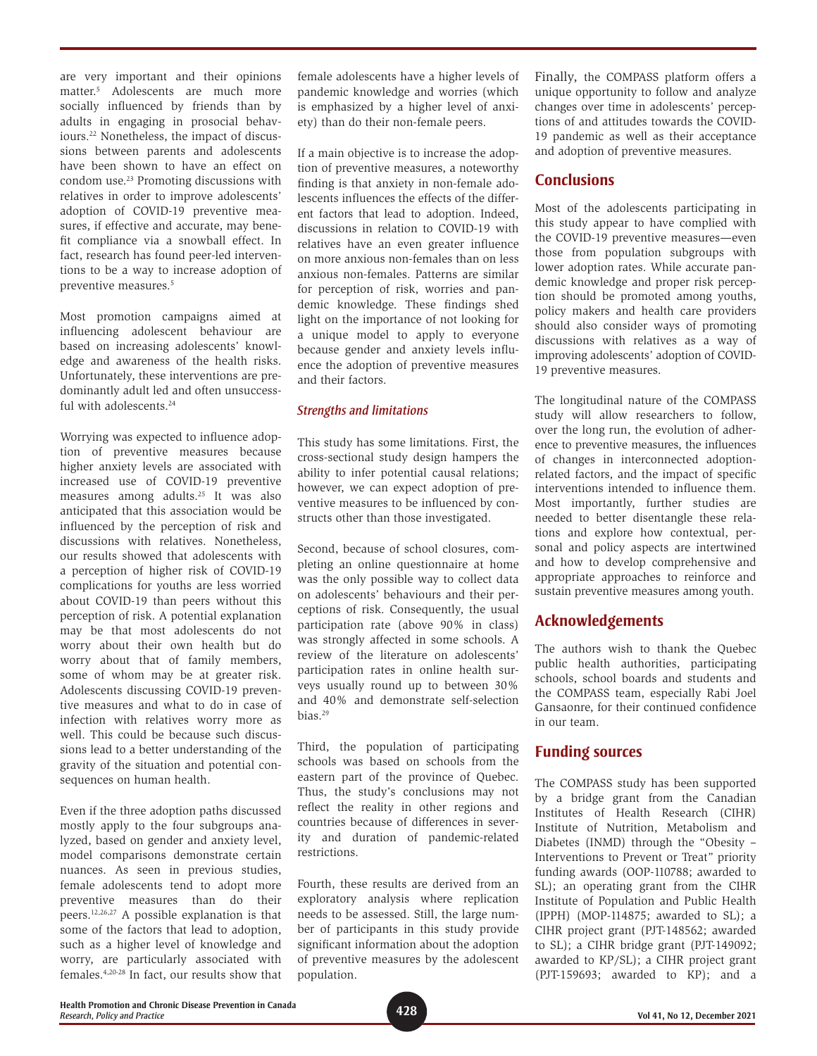are very important and their opinions matter.5 Adolescents are much more socially influenced by friends than by adults in engaging in prosocial behaviours.22 Nonetheless, the impact of discussions between parents and adolescents have been shown to have an effect on condom use.23 Promoting discussions with relatives in order to improve adolescents' adoption of COVID-19 preventive measures, if effective and accurate, may benefit compliance via a snowball effect. In fact, research has found peer-led interventions to be a way to increase adoption of preventive measures.5

Most promotion campaigns aimed at influencing adolescent behaviour are based on increasing adolescents' knowledge and awareness of the health risks. Unfortunately, these interventions are predominantly adult led and often unsuccessful with adolescents.<sup>24</sup>

Worrying was expected to influence adoption of preventive measures because higher anxiety levels are associated with increased use of COVID-19 preventive measures among adults.25 It was also anticipated that this association would be influenced by the perception of risk and discussions with relatives. Nonetheless, our results showed that adolescents with a perception of higher risk of COVID-19 complications for youths are less worried about COVID-19 than peers without this perception of risk. A potential explanation may be that most adolescents do not worry about their own health but do worry about that of family members, some of whom may be at greater risk. Adolescents discussing COVID-19 preventive measures and what to do in case of infection with relatives worry more as well. This could be because such discussions lead to a better understanding of the gravity of the situation and potential consequences on human health.

Even if the three adoption paths discussed mostly apply to the four subgroups analyzed, based on gender and anxiety level, model comparisons demonstrate certain nuances. As seen in previous studies, female adolescents tend to adopt more preventive measures than do their peers.12,26,27 A possible explanation is that some of the factors that lead to adoption, such as a higher level of knowledge and worry, are particularly associated with females.4,20-28 In fact, our results show that female adolescents have a higher levels of pandemic knowledge and worries (which is emphasized by a higher level of anxiety) than do their non-female peers.

If a main objective is to increase the adoption of preventive measures, a noteworthy finding is that anxiety in non-female adolescents influences the effects of the different factors that lead to adoption. Indeed, discussions in relation to COVID-19 with relatives have an even greater influence on more anxious non-females than on less anxious non-females. Patterns are similar for perception of risk, worries and pandemic knowledge. These findings shed light on the importance of not looking for a unique model to apply to everyone because gender and anxiety levels influence the adoption of preventive measures and their factors.

#### *Strengths and limitations*

This study has some limitations. First, the cross-sectional study design hampers the ability to infer potential causal relations; however, we can expect adoption of preventive measures to be influenced by constructs other than those investigated.

Second, because of school closures, completing an online questionnaire at home was the only possible way to collect data on adolescents' behaviours and their perceptions of risk. Consequently, the usual participation rate (above 90% in class) was strongly affected in some schools. A review of the literature on adolescents' participation rates in online health surveys usually round up to between 30% and 40% and demonstrate self-selection bias.29

Third, the population of participating schools was based on schools from the eastern part of the province of Quebec. Thus, the study's conclusions may not reflect the reality in other regions and countries because of differences in severity and duration of pandemic-related restrictions.

Fourth, these results are derived from an exploratory analysis where replication needs to be assessed. Still, the large number of participants in this study provide significant information about the adoption of preventive measures by the adolescent population.

Finally, the COMPASS platform offers a unique opportunity to follow and analyze changes over time in adolescents' perceptions of and attitudes towards the COVID-19 pandemic as well as their acceptance and adoption of preventive measures.

## **Conclusions**

Most of the adolescents participating in this study appear to have complied with the COVID-19 preventive measures—even those from population subgroups with lower adoption rates. While accurate pandemic knowledge and proper risk perception should be promoted among youths, policy makers and health care providers should also consider ways of promoting discussions with relatives as a way of improving adolescents' adoption of COVID-19 preventive measures.

The longitudinal nature of the COMPASS study will allow researchers to follow, over the long run, the evolution of adherence to preventive measures, the influences of changes in interconnected adoptionrelated factors, and the impact of specific interventions intended to influence them. Most importantly, further studies are needed to better disentangle these relations and explore how contextual, personal and policy aspects are intertwined and how to develop comprehensive and appropriate approaches to reinforce and sustain preventive measures among youth.

## **Acknowledgements**

The authors wish to thank the Quebec public health authorities, participating schools, school boards and students and the COMPASS team, especially Rabi Joel Gansaonre, for their continued confidence in our team.

### **Funding sources**

The COMPASS study has been supported by a bridge grant from the Canadian Institutes of Health Research (CIHR) Institute of Nutrition, Metabolism and Diabetes (INMD) through the "Obesity – Interventions to Prevent or Treat" priority funding awards (OOP-110788; awarded to SL); an operating grant from the CIHR Institute of Population and Public Health (IPPH) (MOP-114875; awarded to SL); a CIHR project grant (PJT-148562; awarded to SL); a CIHR bridge grant (PJT-149092; awarded to KP/SL); a CIHR project grant (PJT-159693; awarded to KP); and a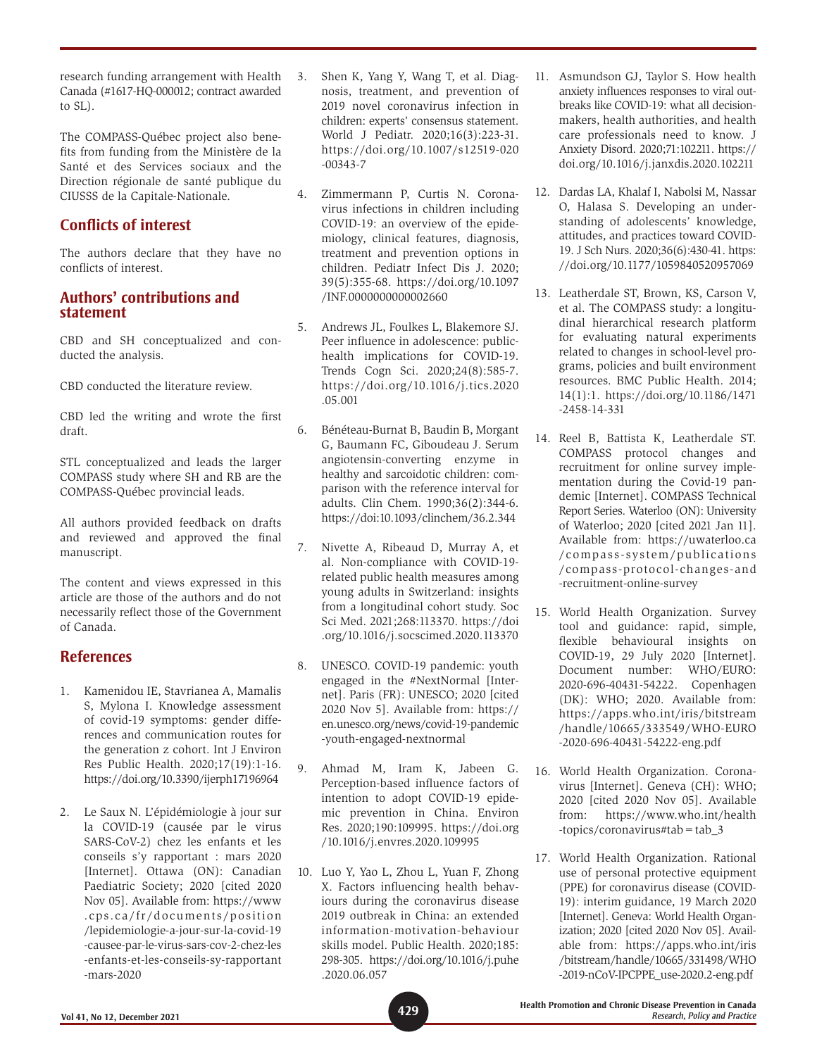research funding arrangement with Health Canada (#1617-HQ-000012; contract awarded to SL).

The COMPASS-Québec project also benefits from funding from the Ministère de la Santé et des Services sociaux and the Direction régionale de santé publique du CIUSSS de la Capitale-Nationale.

## **Conflicts of interest**

The authors declare that they have no conflicts of interest.

## **Authors' contributions and statement**

CBD and SH conceptualized and conducted the analysis.

CBD conducted the literature review.

CBD led the writing and wrote the first draft.

STL conceptualized and leads the larger COMPASS study where SH and RB are the COMPASS-Québec provincial leads.

All authors provided feedback on drafts and reviewed and approved the final manuscript.

The content and views expressed in this article are those of the authors and do not necessarily reflect those of the Government of Canada.

## **References**

- 1. Kamenidou IE, Stavrianea A, Mamalis S, Mylona I. Knowledge assessment of covid-19 symptoms: gender differences and communication routes for the generation z cohort. Int J Environ Res Public Health. 2020;17(19):1-16. <https://doi.org/10.3390/ijerph17196964>
- 2. Le Saux N. L'épidémiologie à jour sur la COVID-19 (causée par le virus SARS-CoV-2) chez les enfants et les conseils s'y rapportant : mars 2020 [Internet]. Ottawa (ON): Canadian Paediatric Society; 2020 [cited 2020 Nov 05]. Available from: https://www .cps.ca/fr/documents/position /lepidemiologie-a-jour-sur-la-covid-19 -causee-par-le-virus-sars-cov-2-chez-les -enfants-et-les-conseils-sy-rapportant -mars-2020
- 3. Shen K, Yang Y, Wang T, et al. Diagnosis, treatment, and prevention of 2019 novel coronavirus infection in children: experts' consensus statement. World J Pediatr. 2020;16(3):223-31. [https://doi.org/10.1007/s12519-020](https://doi.org/10.1007/s12519-020-00343-7) [-00343-7](https://doi.org/10.1007/s12519-020-00343-7)
- 4. Zimmermann P, Curtis N. Coronavirus infections in children including COVID-19: an overview of the epidemiology, clinical features, diagnosis, treatment and prevention options in children. Pediatr Infect Dis J. 2020; 39(5):355-68. [https://doi.org/10.1097](https://doi.org/10.1097/INF.0000000000002660) [/INF.0000000000002660](https://doi.org/10.1097/INF.0000000000002660)
- 5. Andrews JL, Foulkes L, Blakemore SJ. Peer influence in adolescence: publichealth implications for COVID-19. Trends Cogn Sci. 2020;24(8):585-7. [https://doi.org/10.1016/j.tics.2020](https://doi.org/10.1016/j.tics.2020.05.001) [.05.001](https://doi.org/10.1016/j.tics.2020.05.001)
- 6. Bénéteau-Burnat B, Baudin B, Morgant G, Baumann FC, Giboudeau J. Serum angiotensin-converting enzyme in healthy and sarcoidotic children: comparison with the reference interval for adults. Clin Chem. 1990;36(2):344-6. <https://doi:10.1093/clinchem/36.2.344>
- 7. Nivette A, Ribeaud D, Murray A, et al. Non-compliance with COVID-19 related public health measures among young adults in Switzerland: insights from a longitudinal cohort study. Soc Sci Med. 2021;268:113370. [https://doi](https://doi.org/10.1016/j.socscimed.2020.113370) [.org/10.1016/j.socscimed.2020.113370](https://doi.org/10.1016/j.socscimed.2020.113370)
- 8. UNESCO. COVID-19 pandemic: youth engaged in the #NextNormal [Internet]. Paris (FR): UNESCO; 2020 [cited 2020 Nov 5]. Available from: https:// en.unesco.org/news/covid-19-pandemic -youth-engaged-nextnormal
- 9. Ahmad M, Iram K, Jabeen G. Perception-based influence factors of intention to adopt COVID-19 epidemic prevention in China. Environ Res. 2020;190:109995. [https://doi.org](https://doi.org/10.1016/j.envres.2020.109995) [/10.1016/j.envres.2020.109995](https://doi.org/10.1016/j.envres.2020.109995)
- 10. Luo Y, Yao L, Zhou L, Yuan F, Zhong X. Factors influencing health behaviours during the coronavirus disease 2019 outbreak in China: an extended information-motivation-behaviour skills model. Public Health. 2020;185: 298-305. [https://doi.org/10.1016/j.puhe](https://doi.org/10.1016/j.puhe.2020.06.057) [.2020.06.057](https://doi.org/10.1016/j.puhe.2020.06.057)
- 11. Asmundson GJ, Taylor S. How health anxiety influences responses to viral outbreaks like COVID-19: what all decisionmakers, health authorities, and health care professionals need to know. J Anxiety Disord. 2020;71:102211. [https://](https://doi.org/10.1016/j.janxdis.2020.102211) [doi.org/10.1016/j.janxdis.2020.102211](https://doi.org/10.1016/j.janxdis.2020.102211)
- 12. Dardas LA, Khalaf I, Nabolsi M, Nassar O, Halasa S. Developing an understanding of adolescents' knowledge, attitudes, and practices toward COVID-19. J Sch Nurs. 2020;36(6):430-41. [https:](https://doi.org/10.1177/1059840520957069) [//doi.org/10.1177/1059840520957069](https://doi.org/10.1177/1059840520957069)
- 13. Leatherdale ST, Brown, KS, Carson V, et al. The COMPASS study: a longitudinal hierarchical research platform for evaluating natural experiments related to changes in school-level programs, policies and built environment resources. BMC Public Health. 2014; 14(1):1. [https://doi.org/10.1186/1471](https://doi.org/10.1186/1471-2458-14-331) [-2458-14-331](https://doi.org/10.1186/1471-2458-14-331)
- 14. Reel B, Battista K, Leatherdale ST. COMPASS protocol changes and recruitment for online survey implementation during the Covid-19 pandemic [Internet]. COMPASS Technical Report Series. Waterloo (ON): University of Waterloo; 2020 [cited 2021 Jan 11]. Available from: https://uwaterloo.ca /compass-system/publications /compass-protocol-changes-and -recruitment-online-survey
- 15. World Health Organization. Survey tool and guidance: rapid, simple, flexible behavioural insights on COVID-19, 29 July 2020 [Internet]. Document number: WHO/EURO: 2020-696-40431-54222. Copenhagen (DK): WHO; 2020. Available from: https://apps.who.int/iris/bitstream /handle/10665/333549/WHO-EURO -2020-696-40431-54222-eng.pdf
- 16. World Health Organization. Coronavirus [Internet]. Geneva (CH): WHO; 2020 [cited 2020 Nov 05]. Available from: https://www.who.int/health -topics/coronavirus#tab=tab\_3
- 17. World Health Organization. Rational use of personal protective equipment (PPE) for coronavirus disease (COVID-19): interim guidance, 19 March 2020 [Internet]. Geneva: World Health Organization; 2020 [cited 2020 Nov 05]. Available from: https://apps.who.int/iris /bitstream/handle/10665/331498/WHO -2019-nCoV-IPCPPE\_use-2020.2-eng.pdf